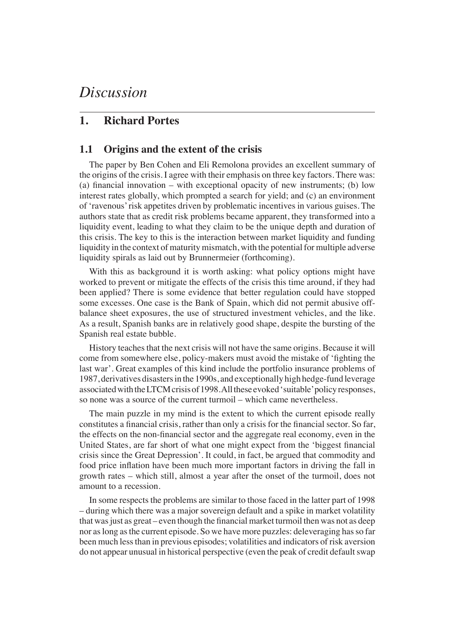# *Discussion*

## **1. Richard Portes**

#### **1.1 Origins and the extent of the crisis**

The paper by Ben Cohen and Eli Remolona provides an excellent summary of the origins of the crisis. I agree with their emphasis on three key factors. There was: (a) financial innovation – with exceptional opacity of new instruments; (b) low interest rates globally, which prompted a search for yield; and (c) an environment of 'ravenous' risk appetites driven by problematic incentives in various guises. The authors state that as credit risk problems became apparent, they transformed into a liquidity event, leading to what they claim to be the unique depth and duration of this crisis. The key to this is the interaction between market liquidity and funding liquidity in the context of maturity mismatch, with the potential for multiple adverse liquidity spirals as laid out by Brunnermeier (forthcoming).

With this as background it is worth asking: what policy options might have worked to prevent or mitigate the effects of the crisis this time around, if they had been applied? There is some evidence that better regulation could have stopped some excesses. One case is the Bank of Spain, which did not permit abusive offbalance sheet exposures, the use of structured investment vehicles, and the like. As a result, Spanish banks are in relatively good shape, despite the bursting of the Spanish real estate bubble.

History teaches that the next crisis will not have the same origins. Because it will come from somewhere else, policy-makers must avoid the mistake of 'fighting the last war'. Great examples of this kind include the portfolio insurance problems of 1987, derivatives disasters in the 1990s, and exceptionally high hedge-fund leverage associated with the LTCM crisis of 1998. All these evoked 'suitable' policy responses, so none was a source of the current turmoil – which came nevertheless.

The main puzzle in my mind is the extent to which the current episode really constitutes a financial crisis, rather than only a crisis for the financial sector. So far, the effects on the non-financial sector and the aggregate real economy, even in the United States, are far short of what one might expect from the 'biggest financial crisis since the Great Depression'. It could, in fact, be argued that commodity and food price inflation have been much more important factors in driving the fall in growth rates – which still, almost a year after the onset of the turmoil, does not amount to a recession.

In some respects the problems are similar to those faced in the latter part of 1998 – during which there was a major sovereign default and a spike in market volatility that was just as great – even though the financial market turmoil then was not as deep nor as long as the current episode. So we have more puzzles: deleveraging has so far been much less than in previous episodes; volatilities and indicators of risk aversion do not appear unusual in historical perspective (even the peak of credit default swap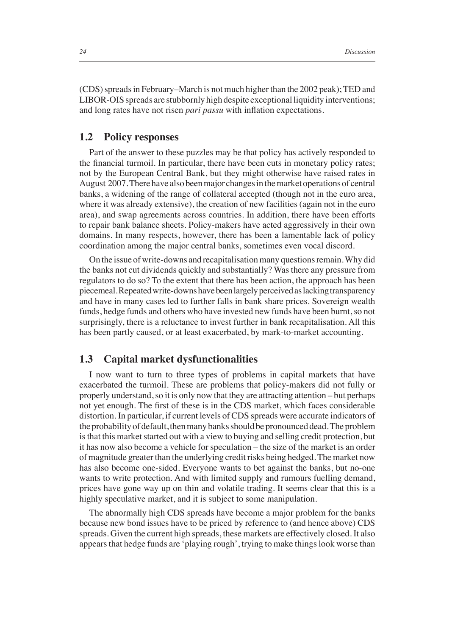(CDS) spreads in February–March is not much higher than the 2002 peak); TED and LIBOR-OIS spreads are stubbornly high despite exceptional liquidity interventions; and long rates have not risen *pari passu* with inflation expectations.

#### **1.2 Policy responses**

Part of the answer to these puzzles may be that policy has actively responded to the financial turmoil. In particular, there have been cuts in monetary policy rates; not by the European Central Bank, but they might otherwise have raised rates in August 2007. There have also been major changes in the market operations of central banks, a widening of the range of collateral accepted (though not in the euro area, where it was already extensive), the creation of new facilities (again not in the euro area), and swap agreements across countries. In addition, there have been efforts to repair bank balance sheets. Policy-makers have acted aggressively in their own domains. In many respects, however, there has been a lamentable lack of policy coordination among the major central banks, sometimes even vocal discord.

On the issue of write-downs and recapitalisation many questions remain. Why did the banks not cut dividends quickly and substantially? Was there any pressure from regulators to do so? To the extent that there has been action, the approach has been piecemeal. Repeated write-downs have been largely perceived as lacking transparency and have in many cases led to further falls in bank share prices. Sovereign wealth funds, hedge funds and others who have invested new funds have been burnt, so not surprisingly, there is a reluctance to invest further in bank recapitalisation. All this has been partly caused, or at least exacerbated, by mark-to-market accounting.

## **1.3 Capital market dysfunctionalities**

I now want to turn to three types of problems in capital markets that have exacerbated the turmoil. These are problems that policy-makers did not fully or properly understand, so it is only now that they are attracting attention – but perhaps not yet enough. The first of these is in the CDS market, which faces considerable distortion. In particular, if current levels of CDS spreads were accurate indicators of the probability of default, then many banks should be pronounced dead. The problem is that this market started out with a view to buying and selling credit protection, but it has now also become a vehicle for speculation – the size of the market is an order of magnitude greater than the underlying credit risks being hedged. The market now has also become one-sided. Everyone wants to bet against the banks, but no-one wants to write protection. And with limited supply and rumours fuelling demand, prices have gone way up on thin and volatile trading. It seems clear that this is a highly speculative market, and it is subject to some manipulation.

The abnormally high CDS spreads have become a major problem for the banks because new bond issues have to be priced by reference to (and hence above) CDS spreads. Given the current high spreads, these markets are effectively closed. It also appears that hedge funds are 'playing rough', trying to make things look worse than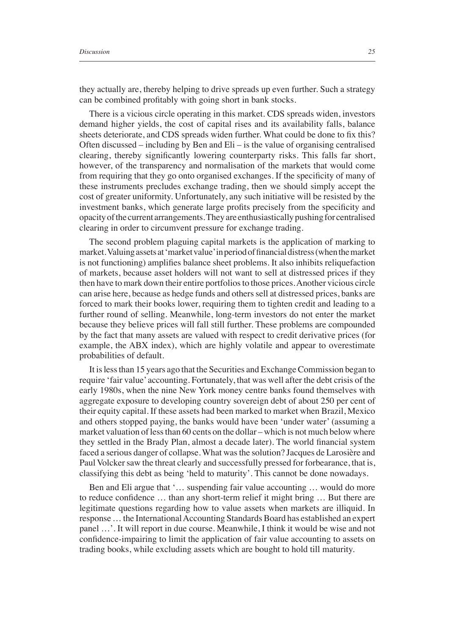they actually are, thereby helping to drive spreads up even further. Such a strategy can be combined profitably with going short in bank stocks.

There is a vicious circle operating in this market. CDS spreads widen, investors demand higher yields, the cost of capital rises and its availability falls, balance sheets deteriorate, and CDS spreads widen further. What could be done to fix this? Often discussed – including by Ben and Eli – is the value of organising centralised clearing, thereby significantly lowering counterparty risks. This falls far short, however, of the transparency and normalisation of the markets that would come from requiring that they go onto organised exchanges. If the specificity of many of these instruments precludes exchange trading, then we should simply accept the cost of greater uniformity. Unfortunately, any such initiative will be resisted by the investment banks, which generate large profits precisely from the specificity and opacity of the current arrangements. They are enthusiastically pushing for centralised clearing in order to circumvent pressure for exchange trading.

The second problem plaguing capital markets is the application of marking to market. Valuing assets at 'market value' in period of financial distress (when the market is not functioning) amplifies balance sheet problems. It also inhibits reliquefaction of markets, because asset holders will not want to sell at distressed prices if they then have to mark down their entire portfolios to those prices. Another vicious circle can arise here, because as hedge funds and others sell at distressed prices, banks are forced to mark their books lower, requiring them to tighten credit and leading to a further round of selling. Meanwhile, long-term investors do not enter the market because they believe prices will fall still further. These problems are compounded by the fact that many assets are valued with respect to credit derivative prices (for example, the ABX index), which are highly volatile and appear to overestimate probabilities of default.

It is less than 15 years ago that the Securities and Exchange Commission began to require 'fair value' accounting. Fortunately, that was well after the debt crisis of the early 1980s, when the nine New York money centre banks found themselves with aggregate exposure to developing country sovereign debt of about 250 per cent of their equity capital. If these assets had been marked to market when Brazil, Mexico and others stopped paying, the banks would have been 'under water' (assuming a market valuation of less than 60 cents on the dollar – which is not much below where they settled in the Brady Plan, almost a decade later). The world financial system faced a serious danger of collapse. What was the solution? Jacques de Larosière and Paul Volcker saw the threat clearly and successfully pressed for forbearance, that is, classifying this debt as being 'held to maturity'. This cannot be done nowadays.

Ben and Eli argue that '… suspending fair value accounting … would do more to reduce confidence ... than any short-term relief it might bring ... But there are legitimate questions regarding how to value assets when markets are illiquid. In response … the International Accounting Standards Board has established an expert panel …'. It will report in due course. Meanwhile, I think it would be wise and not confidence-impairing to limit the application of fair value accounting to assets on trading books, while excluding assets which are bought to hold till maturity.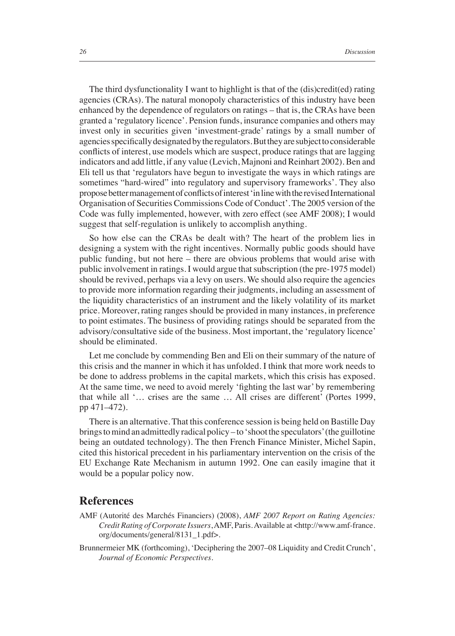The third dysfunctionality I want to highlight is that of the (dis)credit(ed) rating agencies (CRAs). The natural monopoly characteristics of this industry have been enhanced by the dependence of regulators on ratings – that is, the CRAs have been granted a 'regulatory licence'. Pension funds, insurance companies and others may invest only in securities given 'investment-grade' ratings by a small number of agencies specifically designated by the regulators. But they are subject to considerable conflicts of interest, use models which are suspect, produce ratings that are lagging indicators and add little, if any value (Levich, Majnoni and Reinhart 2002). Ben and Eli tell us that 'regulators have begun to investigate the ways in which ratings are sometimes "hard-wired" into regulatory and supervisory frameworks'. They also propose better management of conflicts of interest 'in line with the revised International Organisation of Securities Commissions Code of Conduct'. The 2005 version of the Code was fully implemented, however, with zero effect (see AMF 2008); I would suggest that self-regulation is unlikely to accomplish anything.

So how else can the CRAs be dealt with? The heart of the problem lies in designing a system with the right incentives. Normally public goods should have public funding, but not here – there are obvious problems that would arise with public involvement in ratings. I would argue that subscription (the pre-1975 model) should be revived, perhaps via a levy on users. We should also require the agencies to provide more information regarding their judgments, including an assessment of the liquidity characteristics of an instrument and the likely volatility of its market price. Moreover, rating ranges should be provided in many instances, in preference to point estimates. The business of providing ratings should be separated from the advisory/consultative side of the business. Most important, the 'regulatory licence' should be eliminated.

Let me conclude by commending Ben and Eli on their summary of the nature of this crisis and the manner in which it has unfolded. I think that more work needs to be done to address problems in the capital markets, which this crisis has exposed. At the same time, we need to avoid merely 'fighting the last war' by remembering that while all '… crises are the same … All crises are different' (Portes 1999, pp 471–472).

There is an alternative. That this conference session is being held on Bastille Day brings to mind an admittedly radical policy – to 'shoot the speculators' (the guillotine being an outdated technology). The then French Finance Minister, Michel Sapin, cited this historical precedent in his parliamentary intervention on the crisis of the EU Exchange Rate Mechanism in autumn 1992. One can easily imagine that it would be a popular policy now.

## **References**

- AMF (Autorité des Marchés Financiers) (2008), *AMF 2007 Report on Rating Agencies: Credit Rating of Corporate Issuers*, AMF, Paris. Available at <http://www.amf-france. org/documents/general/8131\_1.pdf>.
- Brunnermeier MK (forthcoming), 'Deciphering the 2007–08 Liquidity and Credit Crunch', *Journal of Economic Perspectives*.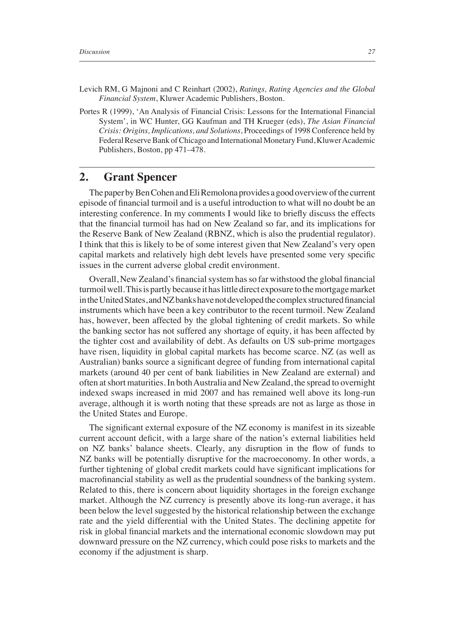- Levich RM, G Majnoni and C Reinhart (2002), *Ratings, Rating Agencies and the Global Financial System*, Kluwer Academic Publishers, Boston.
- Portes R (1999), 'An Analysis of Financial Crisis: Lessons for the International Financial System', in WC Hunter, GG Kaufman and TH Krueger (eds), *The Asian Financial Crisis: Origins, Implications, and Solutions*, Proceedings of 1998 Conference held by Federal Reserve Bank of Chicago and International Monetary Fund, Kluwer Academic Publishers, Boston, pp 471–478.

## **2. Grant Spencer**

The paper by Ben Cohen and Eli Remolona provides a good overview of the current episode of financial turmoil and is a useful introduction to what will no doubt be an interesting conference. In my comments I would like to briefly discuss the effects that the financial turmoil has had on New Zealand so far, and its implications for the Reserve Bank of New Zealand (RBNZ, which is also the prudential regulator). I think that this is likely to be of some interest given that New Zealand's very open capital markets and relatively high debt levels have presented some very specific issues in the current adverse global credit environment.

Overall, New Zealand's financial system has so far withstood the global financial turmoil well. This is partly because it has little direct exposure to the mortgage market in the United States, and NZ banks have not developed the complex structured financial instruments which have been a key contributor to the recent turmoil. New Zealand has, however, been affected by the global tightening of credit markets. So while the banking sector has not suffered any shortage of equity, it has been affected by the tighter cost and availability of debt. As defaults on US sub-prime mortgages have risen, liquidity in global capital markets has become scarce. NZ (as well as Australian) banks source a significant degree of funding from international capital markets (around 40 per cent of bank liabilities in New Zealand are external) and often at short maturities. In both Australia and New Zealand, the spread to overnight indexed swaps increased in mid 2007 and has remained well above its long-run average, although it is worth noting that these spreads are not as large as those in the United States and Europe.

The significant external exposure of the NZ economy is manifest in its sizeable current account deficit, with a large share of the nation's external liabilities held on NZ banks' balance sheets. Clearly, any disruption in the flow of funds to NZ banks will be potentially disruptive for the macroeconomy. In other words, a further tightening of global credit markets could have significant implications for macrofinancial stability as well as the prudential soundness of the banking system. Related to this, there is concern about liquidity shortages in the foreign exchange market. Although the NZ currency is presently above its long-run average, it has been below the level suggested by the historical relationship between the exchange rate and the yield differential with the United States. The declining appetite for risk in global financial markets and the international economic slowdown may put downward pressure on the NZ currency, which could pose risks to markets and the economy if the adjustment is sharp.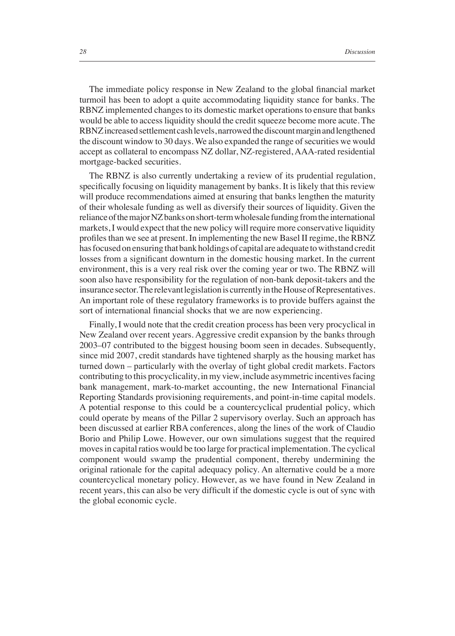The immediate policy response in New Zealand to the global financial market turmoil has been to adopt a quite accommodating liquidity stance for banks. The RBNZ implemented changes to its domestic market operations to ensure that banks would be able to access liquidity should the credit squeeze become more acute. The RBNZ increased settlement cash levels, narrowed the discount margin and lengthened the discount window to 30 days. We also expanded the range of securities we would accept as collateral to encompass NZ dollar, NZ-registered, AAA-rated residential mortgage-backed securities.

The RBNZ is also currently undertaking a review of its prudential regulation, specifically focusing on liquidity management by banks. It is likely that this review will produce recommendations aimed at ensuring that banks lengthen the maturity of their wholesale funding as well as diversify their sources of liquidity. Given the reliance of the major NZ banks on short-term wholesale funding from the international markets, I would expect that the new policy will require more conservative liquidity profi les than we see at present. In implementing the new Basel II regime, the RBNZ has focused on ensuring that bank holdings of capital are adequate to withstand credit losses from a significant downturn in the domestic housing market. In the current environment, this is a very real risk over the coming year or two. The RBNZ will soon also have responsibility for the regulation of non-bank deposit-takers and the insurance sector. The relevant legislation is currently in the House of Representatives. An important role of these regulatory frameworks is to provide buffers against the sort of international financial shocks that we are now experiencing.

Finally, I would note that the credit creation process has been very procyclical in New Zealand over recent years. Aggressive credit expansion by the banks through 2003–07 contributed to the biggest housing boom seen in decades. Subsequently, since mid 2007, credit standards have tightened sharply as the housing market has turned down – particularly with the overlay of tight global credit markets. Factors contributing to this procyclicality, in my view, include asymmetric incentives facing bank management, mark-to-market accounting, the new International Financial Reporting Standards provisioning requirements, and point-in-time capital models. A potential response to this could be a countercyclical prudential policy, which could operate by means of the Pillar 2 supervisory overlay. Such an approach has been discussed at earlier RBA conferences, along the lines of the work of Claudio Borio and Philip Lowe. However, our own simulations suggest that the required moves in capital ratios would be too large for practical implementation. The cyclical component would swamp the prudential component, thereby undermining the original rationale for the capital adequacy policy. An alternative could be a more countercyclical monetary policy. However, as we have found in New Zealand in recent years, this can also be very difficult if the domestic cycle is out of sync with the global economic cycle.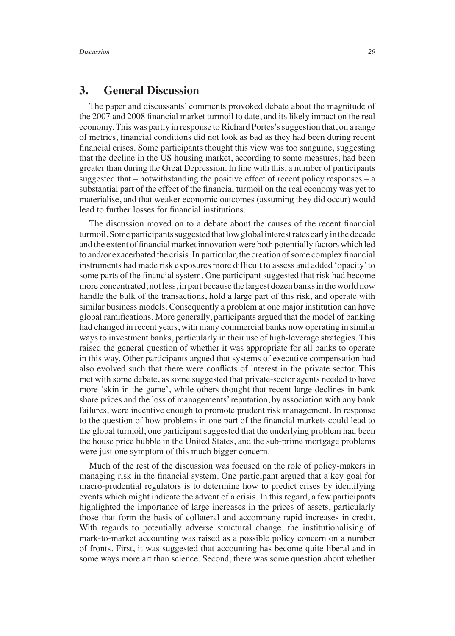## **3. General Discussion**

The paper and discussants' comments provoked debate about the magnitude of the 2007 and 2008 financial market turmoil to date, and its likely impact on the real economy. This was partly in response to Richard Portes's suggestion that, on a range of metrics, fi nancial conditions did not look as bad as they had been during recent financial crises. Some participants thought this view was too sanguine, suggesting that the decline in the US housing market, according to some measures, had been greater than during the Great Depression. In line with this, a number of participants suggested that – notwithstanding the positive effect of recent policy responses – a substantial part of the effect of the financial turmoil on the real economy was yet to materialise, and that weaker economic outcomes (assuming they did occur) would lead to further losses for financial institutions.

The discussion moved on to a debate about the causes of the recent financial turmoil. Some participants suggested that low global interest rates early in the decade and the extent of financial market innovation were both potentially factors which led to and/or exacerbated the crisis. In particular, the creation of some complex financial instruments had made risk exposures more difficult to assess and added 'opacity' to some parts of the financial system. One participant suggested that risk had become more concentrated, not less, in part because the largest dozen banks in the world now handle the bulk of the transactions, hold a large part of this risk, and operate with similar business models. Consequently a problem at one major institution can have global ramifications. More generally, participants argued that the model of banking had changed in recent years, with many commercial banks now operating in similar ways to investment banks, particularly in their use of high-leverage strategies. This raised the general question of whether it was appropriate for all banks to operate in this way. Other participants argued that systems of executive compensation had also evolved such that there were conflicts of interest in the private sector. This met with some debate, as some suggested that private-sector agents needed to have more 'skin in the game', while others thought that recent large declines in bank share prices and the loss of managements' reputation, by association with any bank failures, were incentive enough to promote prudent risk management. In response to the question of how problems in one part of the financial markets could lead to the global turmoil, one participant suggested that the underlying problem had been the house price bubble in the United States, and the sub-prime mortgage problems were just one symptom of this much bigger concern.

Much of the rest of the discussion was focused on the role of policy-makers in managing risk in the financial system. One participant argued that a key goal for macro-prudential regulators is to determine how to predict crises by identifying events which might indicate the advent of a crisis. In this regard, a few participants highlighted the importance of large increases in the prices of assets, particularly those that form the basis of collateral and accompany rapid increases in credit. With regards to potentially adverse structural change, the institutionalising of mark-to-market accounting was raised as a possible policy concern on a number of fronts. First, it was suggested that accounting has become quite liberal and in some ways more art than science. Second, there was some question about whether